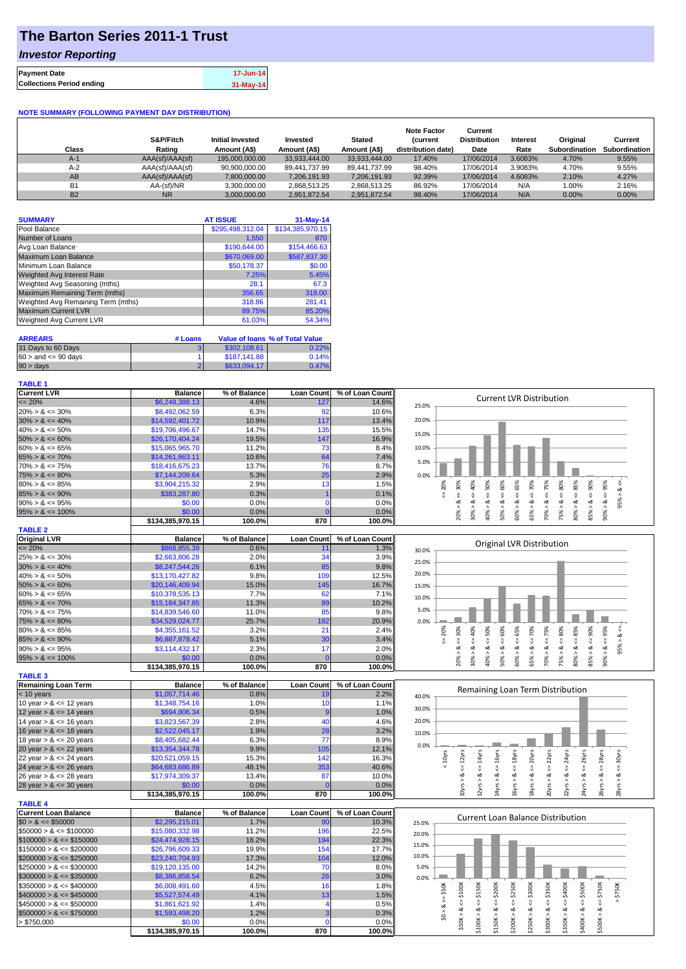# **The Barton Series 2011-1 Trust**

### *Investor Reporting*

| <b>Collections Period ending</b> | <b>Payment Date</b> | 17-Jun-14 |
|----------------------------------|---------------------|-----------|
|                                  |                     | 31-May-14 |

#### **NOTE SUMMARY (FOLLOWING PAYMENT DAY DISTRIBUTION)**

| Class     | S&P/Fitch<br>Rating | <b>Initial Invested</b><br>Amount (A\$) | Invested<br>Amount (A\$) | <b>Stated</b><br>Amount (A\$) | <b>Note Factor</b><br><b>Current</b><br>distribution date) | Current<br><b>Distribution</b><br>Date | Interest<br>Rate | Original<br><b>Subordination</b> | Current<br>Subordination |
|-----------|---------------------|-----------------------------------------|--------------------------|-------------------------------|------------------------------------------------------------|----------------------------------------|------------------|----------------------------------|--------------------------|
| $A-1$     | AAA(sf)/AAA(sf)     | 195,000,000,00                          | 33.933.444.00            | 33.933.444.00                 | 17.40%                                                     | 17/06/2014                             | 3.6083%          | 4.70%                            | 9.55%                    |
| $A-2$     | AAA(sf)/AAA(sf)     | 90.900.000.00                           | 89.441.737.99            | 89.441.737.99                 | 98.40%                                                     | 17/06/2014                             | 3.9083%          | 4.70%                            | 9.55%                    |
| AB        | AAA(sf)/AAA(sf)     | 7.800.000.00                            | 7.206.191.93             | 7,206,191.93                  | 92.39%                                                     | 17/06/2014                             | 4.6083%          | 2.10%                            | 4.27%                    |
| <b>B1</b> | AA-(sf)/NR          | 3.300.000.00                            | 2,868,513.25             | 2,868,513.25                  | 86.92%                                                     | 17/06/2014                             | N/A              | 1.00%                            | 2.16%                    |
| <b>B2</b> | <b>NR</b>           | 3.000.000.00                            | 2.951.872.54             | 2.951.872.54                  | 98.40%                                                     | 17/06/2014                             | N/A              | $0.00\%$                         | 0.00%                    |

| <b>SUMMARY</b>                     | <b>AT ISSUE</b>  | $31-May-14$      |
|------------------------------------|------------------|------------------|
| Pool Balance                       | \$295,498,312.04 | \$134,385,970.15 |
| Number of Loans                    | 1,550            | 870              |
| Avg Loan Balance                   | \$190,644.00     | \$154,466.63     |
| Maximum Loan Balance               | \$670,069.00     | \$587,837.30     |
| Minimum Loan Balance               | \$50,178.37      | \$0.00           |
| <b>Weighted Avg Interest Rate</b>  | 7.25%            | 5.45%            |
| Weighted Avg Seasoning (mths)      | 28.1             | 67.3             |
| Maximum Remaining Term (mths)      | 356.65           | 318.00           |
| Weighted Avg Remaining Term (mths) | 318.86           | 281.41           |
| <b>Maximum Current LVR</b>         | 89.75%           | 85.20%           |
| Weighted Avg Current LVR           | 61.03%           | 54.34%           |

| <b>ARREARS</b>            | # Loans |              | Value of Ioans % of Total Value |
|---------------------------|---------|--------------|---------------------------------|
| 31 Days to 60 Days        |         | \$302.108.61 | 0.22%                           |
| $60 >$ and $\leq 90$ days |         | \$187,141.88 | 0.14%                           |
| 90 > days                 |         | \$633,094.17 | 0.47%                           |

#### **TABLE 1**

| <b>Current LVR</b>                                                   | <b>Balance</b>             | % of Balance   | <b>Loan Count</b> | % of Loan Count | <b>Current LVR Distribution</b>                                                                                                                                                                                 |
|----------------------------------------------------------------------|----------------------------|----------------|-------------------|-----------------|-----------------------------------------------------------------------------------------------------------------------------------------------------------------------------------------------------------------|
| $\epsilon = 20\%$                                                    | \$6,248,388.13             | 4.6%           | 127               | 14.6%           | 25.0%                                                                                                                                                                                                           |
| $20\% > 8 \le 30\%$                                                  | \$8,492,062.59             | 6.3%           | 92                | 10.6%           |                                                                                                                                                                                                                 |
| $30\% > 8 \le 40\%$                                                  | \$14,592,401.72            | 10.9%          | 117               | 13.4%           | 20.0%                                                                                                                                                                                                           |
| $40\% > 8 \le 50\%$                                                  | \$19,706,496.67            | 14.7%          | 135               | 15.5%           |                                                                                                                                                                                                                 |
| $50\% > 8 \le 60\%$                                                  | \$26,170,404.24            | 19.5%          | 147               | 16.9%           | 15.0%                                                                                                                                                                                                           |
| $60\% > 8 \le 65\%$                                                  | \$15,065,965.70            | 11.2%          | 73                | 8.4%            | 10.0%                                                                                                                                                                                                           |
| $65\% > 8 \le 70\%$                                                  | \$14,261,863.11            | 10.6%          | 64                | 7.4%            |                                                                                                                                                                                                                 |
| $70\% > 8 \le 75\%$                                                  | \$18,416,675.23            | 13.7%          | 76                | 8.7%            | 5.0%                                                                                                                                                                                                            |
| $75\% > 8 \le 80\%$                                                  | \$7,144,209.64             | 5.3%           | 25                | 2.9%            | 0.0%                                                                                                                                                                                                            |
| $80\% > 8 \le 85\%$                                                  | \$3,904,215.32             | 2.9%           | 13                | 1.5%            | 70%<br>80%<br>95%<br>₩                                                                                                                                                                                          |
|                                                                      |                            | 0.3%           |                   |                 | $<=65%$<br>$<=75%$<br>$<=85%$<br>$<=$ 30%<br>40%<br>$<=50\%$<br>$<=60\%$<br>20%<br>$\leq 90\%$                                                                                                                  |
| $85\% > 8 \le 90\%$                                                  | \$383,287.80               |                |                   | 0.1%            | 95% > 8<br>Ū<br>ï,<br>$\<=$<br>₹<br>ವ<br>ઌ<br>ಎ<br>ಷ<br>∞<br>ವ                                                                                                                                                  |
| $90\% > 8 \le 95\%$                                                  | \$0.00                     | 0.0%           | $\Omega$          | 0.0%            |                                                                                                                                                                                                                 |
| $95\% > 8 \le 100\%$                                                 | \$0.00                     | 0.0%           | C                 | 0.0%            | 30%<br>60% ><br>65% ><br>70%<br>80%<br>90%<br>20%<br>40% ><br>$50\%$ ><br>75% ><br>85%                                                                                                                          |
|                                                                      | \$134,385,970.15           | 100.0%         | 870               | 100.0%          |                                                                                                                                                                                                                 |
| <b>TABLE 2</b>                                                       |                            |                |                   |                 |                                                                                                                                                                                                                 |
| <b>Original LVR</b>                                                  | <b>Balance</b>             | % of Balance   | <b>Loan Count</b> | % of Loan Count | <b>Original LVR Distribution</b>                                                                                                                                                                                |
| $\epsilon = 20\%$                                                    | \$868,855.39               | 0.6%           | 11                | 1.3%            | 30.0%                                                                                                                                                                                                           |
| $25\% > 8 \le 30\%$                                                  | \$2,663,806.28             | 2.0%           | 34                | 3.9%            | 25.0%                                                                                                                                                                                                           |
| $30\% > 8 \le 40\%$                                                  | \$8,247,544.26             | 6.1%           | 85                | 9.8%            |                                                                                                                                                                                                                 |
| $40\% > 8 \le 50\%$                                                  | \$13,170,427.82            | 9.8%           | 109               | 12.5%           | 20.0%                                                                                                                                                                                                           |
| $50\% > 8 \le 60\%$                                                  | \$20,146,409.94            | 15.0%          | 145               | 16.7%           | 15.0%                                                                                                                                                                                                           |
| $60\% > 8 \le 65\%$                                                  | \$10,378,535.13            | 7.7%           | 62                | 7.1%            |                                                                                                                                                                                                                 |
| $65\% > 8 \le 70\%$                                                  | \$15,184,347.85            | 11.3%          | 89                | 10.2%           | 10.0%                                                                                                                                                                                                           |
| $70\% > 8 \le 75\%$                                                  | \$14,839,546.60            | 11.0%          | 85                | 9.8%            | 5.0%                                                                                                                                                                                                            |
| $75\% > 8 \le 80\%$                                                  | \$34,529,024.77            | 25.7%          | 182               | 20.9%           | 0.0%                                                                                                                                                                                                            |
| $80\% > 8 \le 85\%$                                                  | \$4,355,161.52             | 3.2%           | 21                | 2.4%            | 80%                                                                                                                                                                                                             |
| $85\% > 8 \le 90\%$                                                  |                            | 5.1%           | 30                | 3.4%            | $<=65%$<br>$<=75%$<br>$\leq 85\%$<br>95%<br>20%<br>$<=$ 30%<br>40%<br>$\leq 50\%$<br>60%<br>$\le 70\%$<br>90%<br>95% > 8 <                                                                                      |
|                                                                      | \$6,887,878.42             |                |                   |                 | V<br>V<br>$\<=$<br>V<br>∛<br>ઌ<br>ઌ<br>ಷ<br>oð.<br>ಷ<br>ಷ<br>ઌ<br>∞                                                                                                                                             |
| $90\% > 8 \le 95\%$                                                  | \$3,114,432.17             | 2.3%           | 17                | 2.0%            |                                                                                                                                                                                                                 |
| $95\% > 8 \le 100\%$                                                 | \$0.00                     | 0.0%           | <b>C</b>          | 0.0%            | 60% ><br>70%<br>80%<br>85% ><br>90%<br>20% ><br>30%<br>40% ><br>50% ><br>65%<br>75% >                                                                                                                           |
|                                                                      | \$134,385,970.15           | 100.0%         | 870               | 100.0%          |                                                                                                                                                                                                                 |
| <b>TABLE 3</b>                                                       |                            |                |                   |                 |                                                                                                                                                                                                                 |
| <b>Remaining Loan Term</b>                                           | <b>Balance</b>             | % of Balance   | <b>Loan Count</b> | % of Loan Count | Remaining Loan Term Distribution                                                                                                                                                                                |
| $<$ 10 years                                                         | \$1,057,714.46             | 0.8%           | 19                | 2.2%            | 40.0%                                                                                                                                                                                                           |
| 10 year $> 8 \le 12$ years                                           | \$1,348,754.16             | 1.0%           | 10                | 1.1%            | 30.0%                                                                                                                                                                                                           |
| 12 year $> 8 \le 14$ years                                           | \$694,806.34               | 0.5%           |                   | 1.0%            |                                                                                                                                                                                                                 |
| 14 year $> 8 \le 16$ years                                           | \$3,823,567.39             | 2.8%           | 40                | 4.6%            | 20.0%                                                                                                                                                                                                           |
| 16 year $> 8 \le 18$ years                                           | \$2,522,045.17             | 1.9%           | 28                | 3.2%            | 10.0%                                                                                                                                                                                                           |
| 18 year $> 8 \le 20$ years                                           | \$8,405,682.44             | 6.3%           | 77                | 8.9%            |                                                                                                                                                                                                                 |
| 20 year $> 8 \le 22$ years                                           | \$13,354,344.78            | 9.9%           | 105               | 12.1%           | 0.0%                                                                                                                                                                                                            |
| 22 year $> 8 \le 24$ years                                           | \$20,521,059.15            | 15.3%          | 142               | 16.3%           |                                                                                                                                                                                                                 |
| 24 year $> 8 \le 26$ years                                           | \$64,683,686.89            | 48.1%          | 353               | 40.6%           | $\leq$ = 28 $yrs$<br>$\leq$ = 24yrs<br>$\leq$ = 26yrs<br>$\leq$ = 12 $yrs$<br>$\leq$ = 16yrs<br>$\leq$ = 18 $yrs$<br>$\leq$ = 20 $\gamma$ rs<br>$\leq$ = 30 $\gamma$ rs<br>$< 10$ yrs<br>$\le$ = 14 $\gamma$ rs |
| 26 year $> 8 \le 28$ years                                           | \$17,974,309.37            | 13.4%          | 87                | 10.0%           |                                                                                                                                                                                                                 |
| 28 year $> 8 \le 30$ years                                           | \$0.00                     | 0.0%           |                   | 0.0%            | $20yrs > 8c = 22yrs$<br>24yrs > 8<br>28yrs > 8<br>0yrs > 8<br>2yrs > 8<br>4yrs > 8<br>6yrs > 8<br>$-8yrs > 8$<br>22yrs > 8<br>26yrs > 8                                                                         |
|                                                                      |                            |                |                   |                 |                                                                                                                                                                                                                 |
|                                                                      |                            |                |                   |                 |                                                                                                                                                                                                                 |
|                                                                      | \$134,385,970.15           | 100.0%         | 870               | 100.0%          |                                                                                                                                                                                                                 |
|                                                                      |                            |                |                   |                 |                                                                                                                                                                                                                 |
|                                                                      | <b>Balance</b>             | % of Balance   | <b>Loan Count</b> | % of Loan Count | <b>Current Loan Balance Distribution</b>                                                                                                                                                                        |
| <b>TABLE 4</b><br><b>Current Loan Balance</b><br>$$0 > 8 \le $50000$ | \$2,295,215.01             | 1.7%           | 90                | 10.3%           | 25.0%                                                                                                                                                                                                           |
| $$50000 > 8 \le $100000$                                             | \$15,080,332.98            | 11.2%          | 196               | 22.5%           | 20.0%                                                                                                                                                                                                           |
| $$100000 > 8 \leq $150000$                                           | \$24,474,928.15            | 18.2%          | 194               | 22.3%           |                                                                                                                                                                                                                 |
| $$150000 > 8 \leq $200000$                                           | \$26,796,609.33            | 19.9%          | 154               | 17.7%           | 15.0%                                                                                                                                                                                                           |
|                                                                      | \$23,240,704.93            | 17.3%          | 104               | 12.0%           | 10.0%                                                                                                                                                                                                           |
| $$200000 > 8 \leq $250000$<br>$$250000 > 8 \leq $300000$             | \$19,120,135.00            | 14.2%          | 70                | 8.0%            | 5.0%                                                                                                                                                                                                            |
| $$300000 > 8 \leq $350000$                                           | \$8,386,858.54             | 6.2%           | 26                | 3.0%            | 0.0%                                                                                                                                                                                                            |
| $$350000 > 8 \leq $400000$                                           | \$6,008,491.60             | 4.5%           | 16                | 1.8%            |                                                                                                                                                                                                                 |
| $$400000 > 8 \leq $450000$                                           | \$5,527,574.49             | 4.1%           | 13                | 1.5%            |                                                                                                                                                                                                                 |
|                                                                      |                            |                | $\boldsymbol{4}$  |                 | $4 = $300K$<br>$\le$ \$50K<br>\$350K<br>> \$750K<br>∛                                                                                                                                                           |
| $$450000 > 8 \leq $500000$                                           | \$1,861,621.92             | 1.4%           |                   | 0.5%            | $<=$ \$250K<br>$4 = $400K$<br>$4 = $500K$<br>ಹ                                                                                                                                                                  |
| $$500000 > 8 \leq $750000$                                           | \$1,593,498.20             | 1.2%           |                   | 0.3%            | \$0 > 8.                                                                                                                                                                                                        |
| > \$750,000                                                          | \$0.00<br>\$134,385,970.15 | 0.0%<br>100.0% | $\Omega$<br>870   | 0.0%<br>100.0%  | $$150K > 8 \le 200K$<br>$$50K > 8 <= $100K$<br>$$100K > 8 <= $150K$<br>$$500K > 8 <= $750K$<br>\$200K > 8<br>\$250K > 8<br>\$400K > 8<br>\$300K > 8<br>\$350K >                                                 |